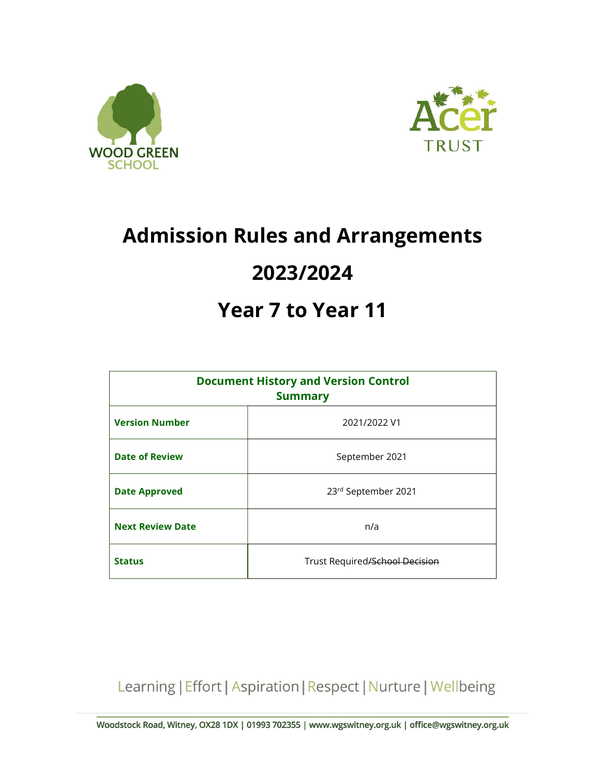



# Admission Rules and Arrangements 2023/2024

## Year 7 to Year 11

| <b>Document History and Version Control</b><br><b>Summary</b> |                                |
|---------------------------------------------------------------|--------------------------------|
| <b>Version Number</b>                                         | 2021/2022 V1                   |
| <b>Date of Review</b>                                         | September 2021                 |
| <b>Date Approved</b>                                          | 23rd September 2021            |
| <b>Next Review Date</b>                                       | n/a                            |
| <b>Status</b>                                                 | Trust Required/School Decision |

Learning | Effort | Aspiration | Respect | Nurture | Wellbeing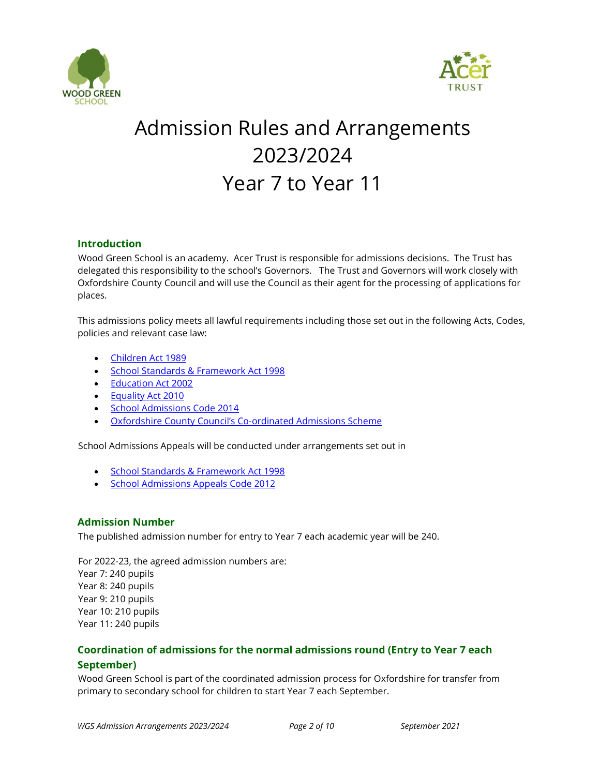



## Admission Rules and Arrangements 2023/2024 Year 7 to Year 11

### Introduction

Wood Green School is an academy. Acer Trust is responsible for admissions decisions. The Trust has delegated this responsibility to the school's Governors. The Trust and Governors will work closely with Oxfordshire County Council and will use the Council as their agent for the processing of applications for places.

This admissions policy meets all lawful requirements including those set out in the following Acts, Codes, policies and relevant case law:

- Children Act 1989
- **School Standards & Framework Act 1998**
- Education Act 2002
- Equality Act 2010
- School Admissions Code 2014
- Oxfordshire County Council's Co-ordinated Admissions Scheme

School Admissions Appeals will be conducted under arrangements set out in

- School Standards & Framework Act 1998
- School Admissions Appeals Code 2012

## Admission Number

The published admission number for entry to Year 7 each academic year will be 240.

For 2022-23, the agreed admission numbers are: Year 7: 240 pupils Year 8: 240 pupils Year 9: 210 pupils Year 10: 210 pupils Year 11: 240 pupils

## Coordination of admissions for the normal admissions round (Entry to Year 7 each September)

Wood Green School is part of the coordinated admission process for Oxfordshire for transfer from primary to secondary school for children to start Year 7 each September.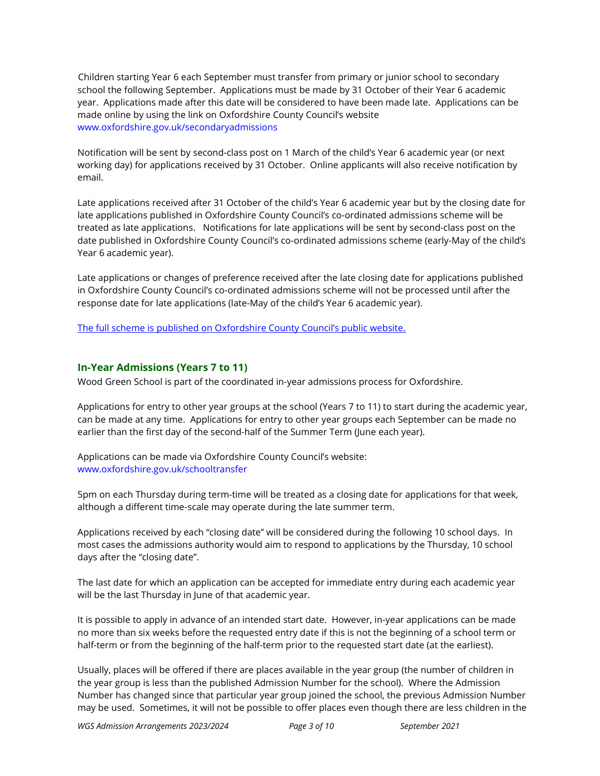Children starting Year 6 each September must transfer from primary or junior school to secondary school the following September. Applications must be made by 31 October of their Year 6 academic year. Applications made after this date will be considered to have been made late. Applications can be made online by using the link on Oxfordshire County Council's website www.oxfordshire.gov.uk/secondaryadmissions

Notification will be sent by second-class post on 1 March of the child's Year 6 academic year (or next working day) for applications received by 31 October. Online applicants will also receive notification by email.

Late applications received after 31 October of the child's Year 6 academic year but by the closing date for late applications published in Oxfordshire County Council's co-ordinated admissions scheme will be treated as late applications. Notifications for late applications will be sent by second-class post on the date published in Oxfordshire County Council's co-ordinated admissions scheme (early-May of the child's Year 6 academic year).

Late applications or changes of preference received after the late closing date for applications published in Oxfordshire County Council's co-ordinated admissions scheme will not be processed until after the response date for late applications (late-May of the child's Year 6 academic year).

The full scheme is published on Oxfordshire County Council's public website.

### In-Year Admissions (Years 7 to 11)

Wood Green School is part of the coordinated in-year admissions process for Oxfordshire.

Applications for entry to other year groups at the school (Years 7 to 11) to start during the academic year, can be made at any time. Applications for entry to other year groups each September can be made no earlier than the first day of the second-half of the Summer Term (June each year).

Applications can be made via Oxfordshire County Council's website: www.oxfordshire.gov.uk/schooltransfer

5pm on each Thursday during term-time will be treated as a closing date for applications for that week, although a different time-scale may operate during the late summer term.

Applications received by each "closing date" will be considered during the following 10 school days. In most cases the admissions authority would aim to respond to applications by the Thursday, 10 school days after the "closing date".

The last date for which an application can be accepted for immediate entry during each academic year will be the last Thursday in June of that academic year.

It is possible to apply in advance of an intended start date. However, in-year applications can be made no more than six weeks before the requested entry date if this is not the beginning of a school term or half-term or from the beginning of the half-term prior to the requested start date (at the earliest).

Usually, places will be offered if there are places available in the year group (the number of children in the year group is less than the published Admission Number for the school). Where the Admission Number has changed since that particular year group joined the school, the previous Admission Number may be used. Sometimes, it will not be possible to offer places even though there are less children in the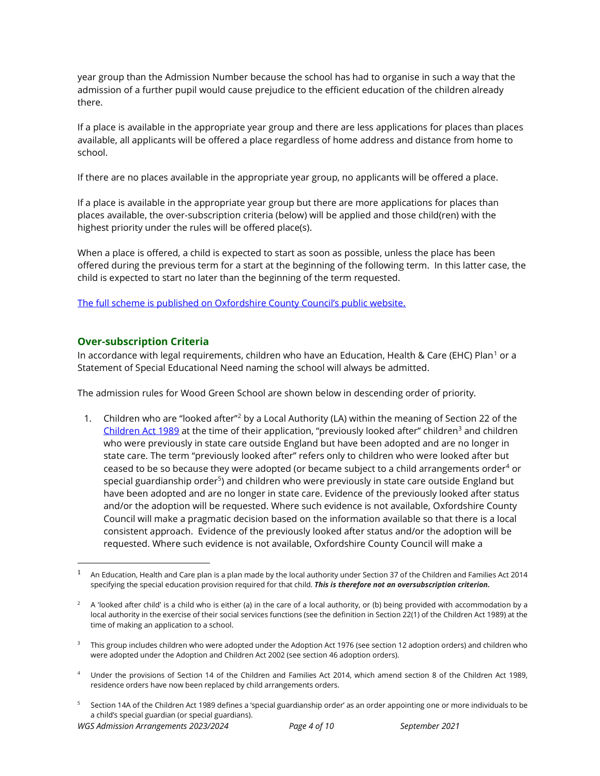year group than the Admission Number because the school has had to organise in such a way that the admission of a further pupil would cause prejudice to the efficient education of the children already there.

If a place is available in the appropriate year group and there are less applications for places than places available, all applicants will be offered a place regardless of home address and distance from home to school.

If there are no places available in the appropriate year group, no applicants will be offered a place.

If a place is available in the appropriate year group but there are more applications for places than places available, the over-subscription criteria (below) will be applied and those child(ren) with the highest priority under the rules will be offered place(s).

When a place is offered, a child is expected to start as soon as possible, unless the place has been offered during the previous term for a start at the beginning of the following term. In this latter case, the child is expected to start no later than the beginning of the term requested.

The full scheme is published on Oxfordshire County Council's public website.

## Over-subscription Criteria

In accordance with legal requirements, children who have an Education, Health & Care (EHC) Plan $^{\rm 1}$  or a  $^{\rm 1}$ Statement of Special Educational Need naming the school will always be admitted.

The admission rules for Wood Green School are shown below in descending order of priority.

1. Children who are "looked after"<sup>2</sup> by a Local Authority (LA) within the meaning of Section 22 of the Children Act 1989 at the time of their application, "previously looked after" children<sup>3</sup> and children who were previously in state care outside England but have been adopted and are no longer in state care. The term "previously looked after" refers only to children who were looked after but ceased to be so because they were adopted (or became subject to a child arrangements order $^4$  or special guardianship order<sup>5</sup>) and children who were previously in state care outside England but have been adopted and are no longer in state care. Evidence of the previously looked after status and/or the adoption will be requested. Where such evidence is not available, Oxfordshire County Council will make a pragmatic decision based on the information available so that there is a local consistent approach. Evidence of the previously looked after status and/or the adoption will be requested. Where such evidence is not available, Oxfordshire County Council will make a

<sup>1</sup> An Education, Health and Care plan is a plan made by the local authority under Section 37 of the Children and Families Act 2014 specifying the special education provision required for that child. This is therefore not an oversubscription criterion.

 $^2$  A 'looked after child' is a child who is either (a) in the care of a local authority, or (b) being provided with accommodation by a local authority in the exercise of their social services functions (see the definition in Section 22(1) of the Children Act 1989) at the time of making an application to a school.

<sup>&</sup>lt;sup>3</sup> This group includes children who were adopted under the Adoption Act 1976 (see section 12 adoption orders) and children who were adopted under the Adoption and Children Act 2002 (see section 46 adoption orders).

<sup>4</sup> Under the provisions of Section 14 of the Children and Families Act 2014, which amend section 8 of the Children Act 1989, residence orders have now been replaced by child arrangements orders.

<sup>5</sup> Section 14A of the Children Act 1989 defines a 'special guardianship order' as an order appointing one or more individuals to be a child's special guardian (or special guardians).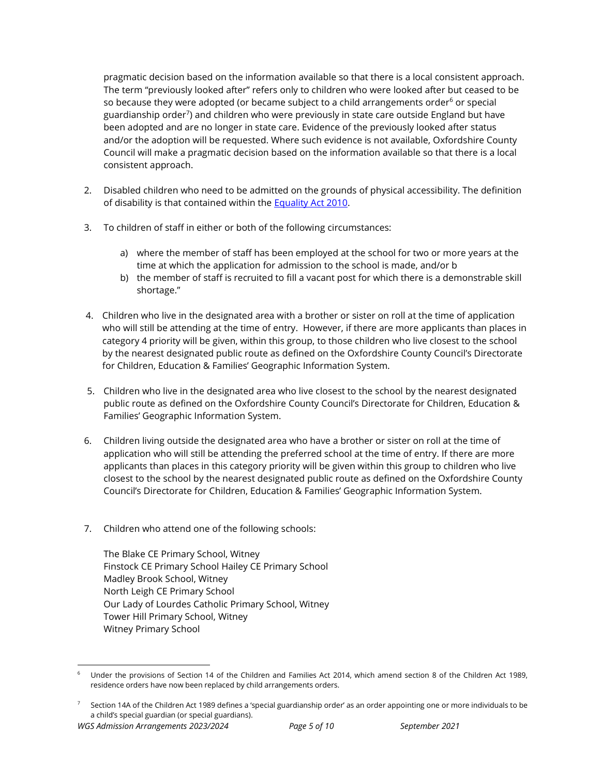pragmatic decision based on the information available so that there is a local consistent approach. The term "previously looked after" refers only to children who were looked after but ceased to be so because they were adopted (or became subject to a child arrangements order<sup>6</sup> or special guardianship order<sup>7</sup>) and children who were previously in state care outside England but have been adopted and are no longer in state care. Evidence of the previously looked after status and/or the adoption will be requested. Where such evidence is not available, Oxfordshire County Council will make a pragmatic decision based on the information available so that there is a local consistent approach.

- 2. Disabled children who need to be admitted on the grounds of physical accessibility. The definition of disability is that contained within the Equality Act 2010.
- 3. To children of staff in either or both of the following circumstances:
	- a) where the member of staff has been employed at the school for two or more years at the time at which the application for admission to the school is made, and/or b
	- b) the member of staff is recruited to fill a vacant post for which there is a demonstrable skill shortage."
- 4. Children who live in the designated area with a brother or sister on roll at the time of application who will still be attending at the time of entry. However, if there are more applicants than places in category 4 priority will be given, within this group, to those children who live closest to the school by the nearest designated public route as defined on the Oxfordshire County Council's Directorate for Children, Education & Families' Geographic Information System.
- 5. Children who live in the designated area who live closest to the school by the nearest designated public route as defined on the Oxfordshire County Council's Directorate for Children, Education & Families' Geographic Information System.
- 6. Children living outside the designated area who have a brother or sister on roll at the time of application who will still be attending the preferred school at the time of entry. If there are more applicants than places in this category priority will be given within this group to children who live closest to the school by the nearest designated public route as defined on the Oxfordshire County Council's Directorate for Children, Education & Families' Geographic Information System.
- 7. Children who attend one of the following schools:

The Blake CE Primary School, Witney Finstock CE Primary School Hailey CE Primary School Madley Brook School, Witney North Leigh CE Primary School Our Lady of Lourdes Catholic Primary School, Witney Tower Hill Primary School, Witney Witney Primary School

<sup>6</sup> Under the provisions of Section 14 of the Children and Families Act 2014, which amend section 8 of the Children Act 1989, residence orders have now been replaced by child arrangements orders.

<sup>7</sup> Section 14A of the Children Act 1989 defines a 'special guardianship order' as an order appointing one or more individuals to be a child's special guardian (or special guardians).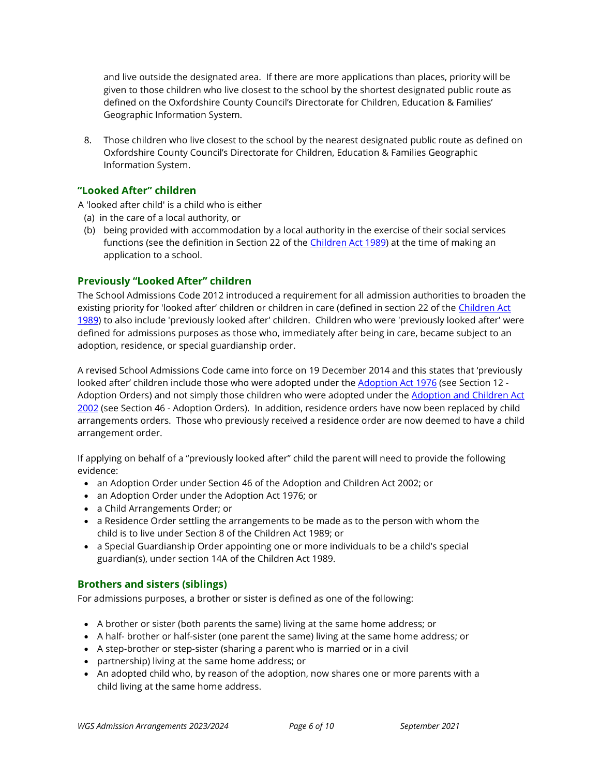and live outside the designated area. If there are more applications than places, priority will be given to those children who live closest to the school by the shortest designated public route as defined on the Oxfordshire County Council's Directorate for Children, Education & Families' Geographic Information System.

8. Those children who live closest to the school by the nearest designated public route as defined on Oxfordshire County Council's Directorate for Children, Education & Families Geographic Information System.

## "Looked After" children

A 'looked after child' is a child who is either

- (a) in the care of a local authority, or
- (b) being provided with accommodation by a local authority in the exercise of their social services functions (see the definition in Section 22 of the Children Act 1989) at the time of making an application to a school.

## Previously "Looked After" children

The School Admissions Code 2012 introduced a requirement for all admission authorities to broaden the existing priority for 'looked after' children or children in care (defined in section 22 of the Children Act 1989) to also include 'previously looked after' children. Children who were 'previously looked after' were defined for admissions purposes as those who, immediately after being in care, became subject to an adoption, residence, or special guardianship order.

A revised School Admissions Code came into force on 19 December 2014 and this states that 'previously looked after' children include those who were adopted under the Adoption Act 1976 (see Section 12 -Adoption Orders) and not simply those children who were adopted under the Adoption and Children Act 2002 (see Section 46 - Adoption Orders). In addition, residence orders have now been replaced by child arrangements orders. Those who previously received a residence order are now deemed to have a child arrangement order.

If applying on behalf of a "previously looked after" child the parent will need to provide the following evidence:

- an Adoption Order under Section 46 of the Adoption and Children Act 2002; or
- an Adoption Order under the Adoption Act 1976; or
- a Child Arrangements Order; or
- a Residence Order settling the arrangements to be made as to the person with whom the child is to live under Section 8 of the Children Act 1989; or
- a Special Guardianship Order appointing one or more individuals to be a child's special guardian(s), under section 14A of the Children Act 1989.

## Brothers and sisters (siblings)

For admissions purposes, a brother or sister is defined as one of the following:

- A brother or sister (both parents the same) living at the same home address; or
- A half- brother or half-sister (one parent the same) living at the same home address; or
- A step-brother or step-sister (sharing a parent who is married or in a civil
- partnership) living at the same home address; or
- An adopted child who, by reason of the adoption, now shares one or more parents with a child living at the same home address.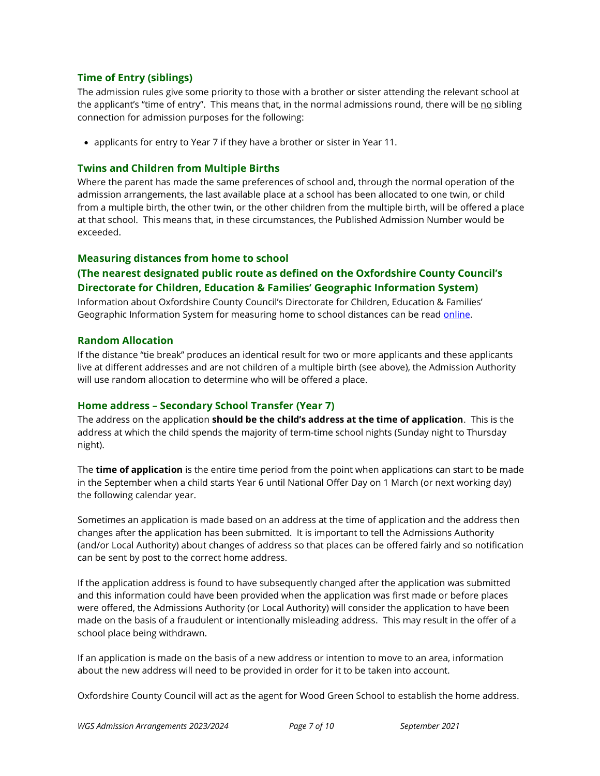## Time of Entry (siblings)

The admission rules give some priority to those with a brother or sister attending the relevant school at the applicant's "time of entry". This means that, in the normal admissions round, there will be no sibling connection for admission purposes for the following:

applicants for entry to Year 7 if they have a brother or sister in Year 11.

## Twins and Children from Multiple Births

Where the parent has made the same preferences of school and, through the normal operation of the admission arrangements, the last available place at a school has been allocated to one twin, or child from a multiple birth, the other twin, or the other children from the multiple birth, will be offered a place at that school. This means that, in these circumstances, the Published Admission Number would be exceeded.

## Measuring distances from home to school

## (The nearest designated public route as defined on the Oxfordshire County Council's Directorate for Children, Education & Families' Geographic Information System)

Information about Oxfordshire County Council's Directorate for Children, Education & Families' Geographic Information System for measuring home to school distances can be read online.

### Random Allocation

If the distance "tie break" produces an identical result for two or more applicants and these applicants live at different addresses and are not children of a multiple birth (see above), the Admission Authority will use random allocation to determine who will be offered a place.

### Home address – Secondary School Transfer (Year 7)

The address on the application should be the child's address at the time of application. This is the address at which the child spends the majority of term-time school nights (Sunday night to Thursday night).

The **time of application** is the entire time period from the point when applications can start to be made in the September when a child starts Year 6 until National Offer Day on 1 March (or next working day) the following calendar year.

Sometimes an application is made based on an address at the time of application and the address then changes after the application has been submitted. It is important to tell the Admissions Authority (and/or Local Authority) about changes of address so that places can be offered fairly and so notification can be sent by post to the correct home address.

If the application address is found to have subsequently changed after the application was submitted and this information could have been provided when the application was first made or before places were offered, the Admissions Authority (or Local Authority) will consider the application to have been made on the basis of a fraudulent or intentionally misleading address. This may result in the offer of a school place being withdrawn.

If an application is made on the basis of a new address or intention to move to an area, information about the new address will need to be provided in order for it to be taken into account.

Oxfordshire County Council will act as the agent for Wood Green School to establish the home address.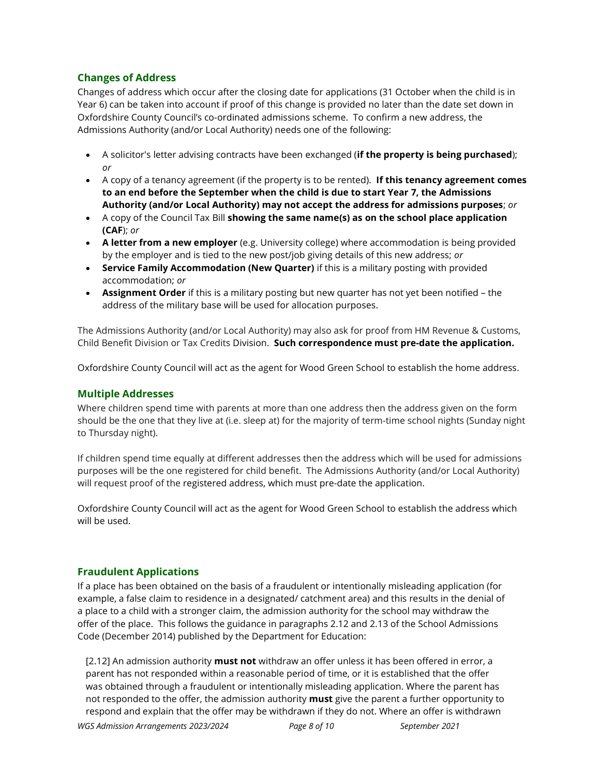## Changes of Address

Changes of address which occur after the closing date for applications (31 October when the child is in Year 6) can be taken into account if proof of this change is provided no later than the date set down in Oxfordshire County Council's co-ordinated admissions scheme. To confirm a new address, the Admissions Authority (and/or Local Authority) needs one of the following:

- A solicitor's letter advising contracts have been exchanged (if the property is being purchased); or
- A copy of a tenancy agreement (if the property is to be rented). If this tenancy agreement comes to an end before the September when the child is due to start Year 7, the Admissions Authority (and/or Local Authority) may not accept the address for admissions purposes; or
- A copy of the Council Tax Bill showing the same name(s) as on the school place application (CAF); or
- A letter from a new employer (e.g. University college) where accommodation is being provided by the employer and is tied to the new post/job giving details of this new address; or
- Service Family Accommodation (New Quarter) if this is a military posting with provided accommodation; or
- Assignment Order if this is a military posting but new quarter has not yet been notified the address of the military base will be used for allocation purposes.

The Admissions Authority (and/or Local Authority) may also ask for proof from HM Revenue & Customs, Child Benefit Division or Tax Credits Division. Such correspondence must pre-date the application.

Oxfordshire County Council will act as the agent for Wood Green School to establish the home address.

### Multiple Addresses

Where children spend time with parents at more than one address then the address given on the form should be the one that they live at (i.e. sleep at) for the majority of term-time school nights (Sunday night to Thursday night).

If children spend time equally at different addresses then the address which will be used for admissions purposes will be the one registered for child benefit. The Admissions Authority (and/or Local Authority) will request proof of the registered address, which must pre-date the application.

Oxfordshire County Council will act as the agent for Wood Green School to establish the address which will be used.

## Fraudulent Applications

If a place has been obtained on the basis of a fraudulent or intentionally misleading application (for example, a false claim to residence in a designated/ catchment area) and this results in the denial of a place to a child with a stronger claim, the admission authority for the school may withdraw the offer of the place. This follows the guidance in paragraphs 2.12 and 2.13 of the School Admissions Code (December 2014) published by the Department for Education:

[2.12] An admission authority must not withdraw an offer unless it has been offered in error, a parent has not responded within a reasonable period of time, or it is established that the offer was obtained through a fraudulent or intentionally misleading application. Where the parent has not responded to the offer, the admission authority **must** give the parent a further opportunity to respond and explain that the offer may be withdrawn if they do not. Where an offer is withdrawn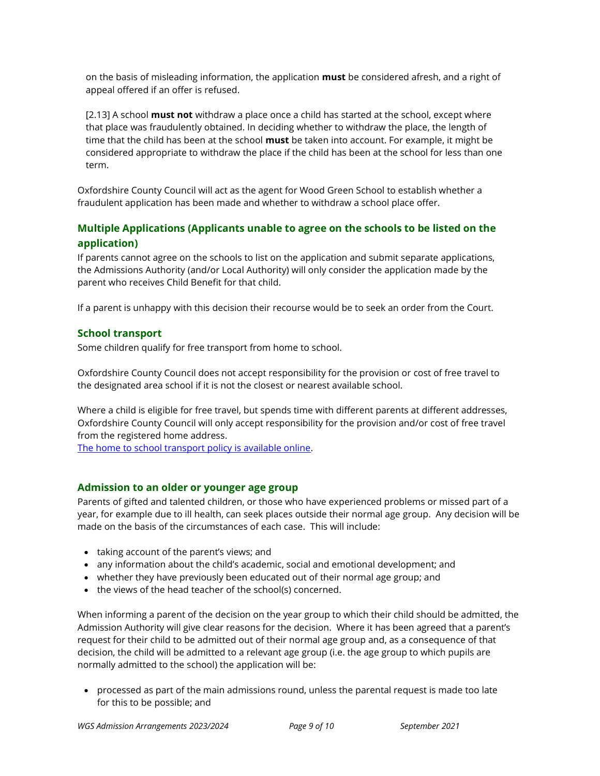on the basis of misleading information, the application **must** be considered afresh, and a right of appeal offered if an offer is refused.

[2.13] A school **must not** withdraw a place once a child has started at the school, except where that place was fraudulently obtained. In deciding whether to withdraw the place, the length of time that the child has been at the school must be taken into account. For example, it might be considered appropriate to withdraw the place if the child has been at the school for less than one term.

Oxfordshire County Council will act as the agent for Wood Green School to establish whether a fraudulent application has been made and whether to withdraw a school place offer.

## Multiple Applications (Applicants unable to agree on the schools to be listed on the application)

If parents cannot agree on the schools to list on the application and submit separate applications, the Admissions Authority (and/or Local Authority) will only consider the application made by the parent who receives Child Benefit for that child.

If a parent is unhappy with this decision their recourse would be to seek an order from the Court.

## School transport

Some children qualify for free transport from home to school.

Oxfordshire County Council does not accept responsibility for the provision or cost of free travel to the designated area school if it is not the closest or nearest available school.

Where a child is eligible for free travel, but spends time with different parents at different addresses, Oxfordshire County Council will only accept responsibility for the provision and/or cost of free travel from the registered home address.

The home to school transport policy is available online.

### Admission to an older or younger age group

Parents of gifted and talented children, or those who have experienced problems or missed part of a year, for example due to ill health, can seek places outside their normal age group. Any decision will be made on the basis of the circumstances of each case. This will include:

- taking account of the parent's views; and
- any information about the child's academic, social and emotional development; and
- whether they have previously been educated out of their normal age group; and
- the views of the head teacher of the school(s) concerned.

When informing a parent of the decision on the year group to which their child should be admitted, the Admission Authority will give clear reasons for the decision. Where it has been agreed that a parent's request for their child to be admitted out of their normal age group and, as a consequence of that decision, the child will be admitted to a relevant age group (i.e. the age group to which pupils are normally admitted to the school) the application will be:

 processed as part of the main admissions round, unless the parental request is made too late for this to be possible; and